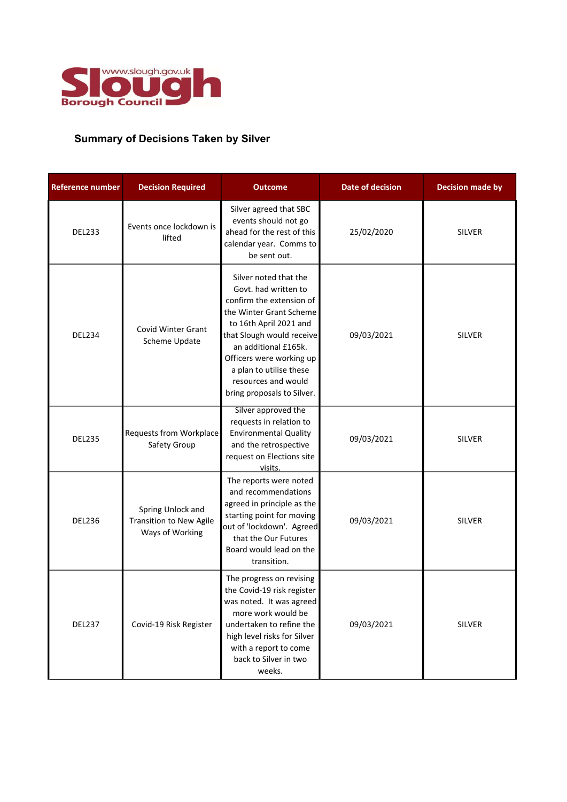

## Summary of Decisions Taken by Silver

| <b>Reference number</b> | <b>Decision Required</b>                                               | <b>Outcome</b>                                                                                                                                                                                                                                                                                  | <b>Date of decision</b> | <b>Decision made by</b> |
|-------------------------|------------------------------------------------------------------------|-------------------------------------------------------------------------------------------------------------------------------------------------------------------------------------------------------------------------------------------------------------------------------------------------|-------------------------|-------------------------|
| <b>DEL233</b>           | Events once lockdown is<br>lifted                                      | Silver agreed that SBC<br>events should not go<br>ahead for the rest of this<br>calendar year. Comms to<br>be sent out.                                                                                                                                                                         | 25/02/2020              | <b>SILVER</b>           |
| <b>DEL234</b>           | <b>Covid Winter Grant</b><br>Scheme Update                             | Silver noted that the<br>Govt, had written to<br>confirm the extension of<br>the Winter Grant Scheme<br>to 16th April 2021 and<br>that Slough would receive<br>an additional £165k.<br>Officers were working up<br>a plan to utilise these<br>resources and would<br>bring proposals to Silver. | 09/03/2021              | <b>SILVER</b>           |
| <b>DEL235</b>           | Requests from Workplace<br>Safety Group                                | Silver approved the<br>requests in relation to<br><b>Environmental Quality</b><br>and the retrospective<br>request on Elections site<br>visits.                                                                                                                                                 | 09/03/2021              | <b>SILVER</b>           |
| <b>DEL236</b>           | Spring Unlock and<br><b>Transition to New Agile</b><br>Ways of Working | The reports were noted<br>and recommendations<br>agreed in principle as the<br>starting point for moving<br>out of 'lockdown'. Agreed<br>that the Our Futures<br>Board would lead on the<br>transition.                                                                                         | 09/03/2021              | <b>SILVER</b>           |
| <b>DEL237</b>           | Covid-19 Risk Register                                                 | The progress on revising<br>the Covid-19 risk register<br>was noted. It was agreed<br>more work would be<br>undertaken to refine the<br>high level risks for Silver<br>with a report to come<br>back to Silver in two<br>weeks.                                                                 | 09/03/2021              | <b>SILVER</b>           |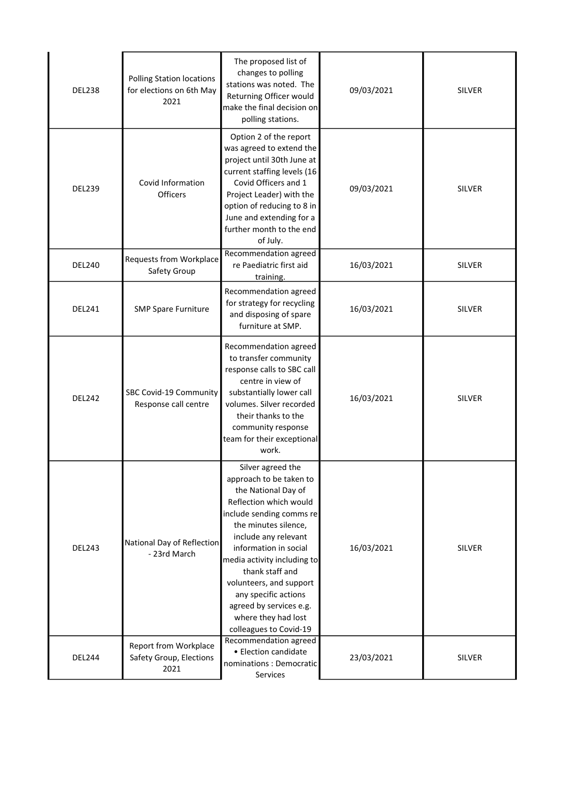| <b>DEL238</b> | <b>Polling Station locations</b><br>for elections on 6th May<br>2021 | The proposed list of<br>changes to polling<br>stations was noted. The<br>Returning Officer would<br>make the final decision on<br>polling stations.                                                                                                                                                                                                                                 | 09/03/2021 | <b>SILVER</b> |
|---------------|----------------------------------------------------------------------|-------------------------------------------------------------------------------------------------------------------------------------------------------------------------------------------------------------------------------------------------------------------------------------------------------------------------------------------------------------------------------------|------------|---------------|
| <b>DEL239</b> | Covid Information<br><b>Officers</b>                                 | Option 2 of the report<br>was agreed to extend the<br>project until 30th June at<br>current staffing levels (16<br>Covid Officers and 1<br>Project Leader) with the<br>option of reducing to 8 in<br>June and extending for a<br>further month to the end<br>of July.                                                                                                               | 09/03/2021 | <b>SILVER</b> |
| <b>DEL240</b> | <b>Requests from Workplace</b><br>Safety Group                       | Recommendation agreed<br>re Paediatric first aid<br>training.                                                                                                                                                                                                                                                                                                                       | 16/03/2021 | <b>SILVER</b> |
| <b>DEL241</b> | <b>SMP Spare Furniture</b>                                           | Recommendation agreed<br>for strategy for recycling<br>and disposing of spare<br>furniture at SMP.                                                                                                                                                                                                                                                                                  | 16/03/2021 | <b>SILVER</b> |
| <b>DEL242</b> | SBC Covid-19 Community<br>Response call centre                       | Recommendation agreed<br>to transfer community<br>response calls to SBC call<br>centre in view of<br>substantially lower call<br>volumes. Silver recorded<br>their thanks to the<br>community response<br>team for their exceptional<br>work.                                                                                                                                       | 16/03/2021 | <b>SILVER</b> |
| <b>DEL243</b> | National Day of Reflection<br>- 23rd March                           | Silver agreed the<br>approach to be taken to<br>the National Day of<br>Reflection which would<br>include sending comms re<br>the minutes silence,<br>include any relevant<br>information in social<br>media activity including to<br>thank staff and<br>volunteers, and support<br>any specific actions<br>agreed by services e.g.<br>where they had lost<br>colleagues to Covid-19 | 16/03/2021 | <b>SILVER</b> |
| <b>DEL244</b> | Report from Workplace<br>Safety Group, Elections<br>2021             | Recommendation agreed<br>• Election candidate<br>nominations: Democratic<br>Services                                                                                                                                                                                                                                                                                                | 23/03/2021 | SILVER        |